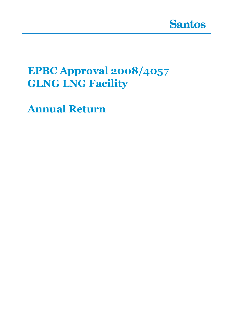

# **EPBC Approval 2008/4057 GLNG LNG Facility**

**Annual Return**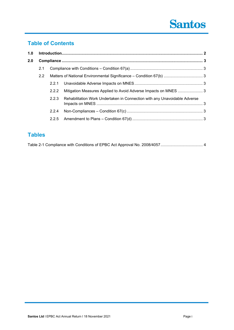# **Santos**

# **Table of Contents**

| 1.0 |               |       |                                                                           |  |
|-----|---------------|-------|---------------------------------------------------------------------------|--|
| 2.0 |               |       |                                                                           |  |
|     | 2.1           |       |                                                                           |  |
|     | $2.2^{\circ}$ |       | Matters of National Environmental Significance - Condition 67(b)  3       |  |
|     |               | 2.2.1 |                                                                           |  |
|     |               | 2.2.2 | Mitigation Measures Applied to Avoid Adverse Impacts on MNES 3            |  |
|     |               | 2.2.3 | Rehabilitation Work Undertaken in Connection with any Unavoidable Adverse |  |
|     |               | 2.2.4 |                                                                           |  |
|     |               | 2.2.5 |                                                                           |  |
|     |               |       |                                                                           |  |

## **Tables**

|--|--|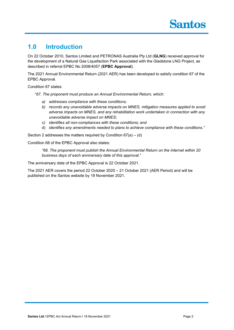## **1.0 Introduction**

On 22 October 2010, Santos Limited and PETRONAS Australia Pty Ltd (**GLNG**) received approval for the development of a Natural Gas Liquefaction Park associated with the Gladstone LNG Project, as described in referral EPBC No 2008/4057 (**EPBC Approval**).

The 2021 Annual Environmental Return (2021 AER) has been developed to satisfy condition 67 of the EPBC Approval.

Condition 67 states:

"*67. The proponent must produce an Annual Environmental Return, which:*

- *a) addresses compliance with these conditions;*
- *b) records any unavoidable adverse impacts on MNES, mitigation measures applied to avoid adverse impacts on MNES, and any rehabilitation work undertaken in connection with any unavoidable adverse impact on MNES;*
- *c) identifies all non-compliances with these conditions; and*
- d) *identifies any amendments needed to plans to achieve compliance with these conditions."*

Section 2 addresses the matters required by Condition 67(a) – (d)

Condition 68 of the EPBC Approval also states:

*"68. The proponent must publish the Annual Environmental Return on the Internet within 20 business days of each anniversary date of this approval."*

The anniversary date of the EPBC Approval is 22 October 2021.

The 2021 AER covers the period 22 October 2020 – 21 October 2021 (AER Period) and will be published on the Santos website by 19 November 2021.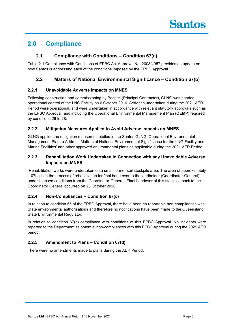# **2.0 Compliance**

### **2.1 Compliance with Conditions – Condition 67(a)**

Table 2-1 Compliance with Conditions of EPBC Act Approval No. 2008/4057 provides an update on how Santos is addressing each of the conditions imposed by the EPBC Approval.

### **2.2 Matters of National Environmental Significance – Condition 67(b)**

### **2.2.1 Unavoidable Adverse Impacts on MNES**

Following construction and commissioning by Bechtel (Principal Contractor), GLNG was handed operational control of the LNG Facility on 6 October 2016. Activities undertaken during the 2021 AER Period were operational, and were undertaken in accordance with relevant statutory approvals such as the EPBC Approval, and including the Operational Environmental Management Plan (**OEMP**) required by conditions 26 to 28.

### **2.2.2 Mitigation Measures Applied to Avoid Adverse Impacts on MNES**

GLNG applied the mitigation measures detailed in the Santos GLNG 'Operational Environmental Management Plan to Address Matters of National Environmental Significance for the LNG Facility and Marine Facilities' and other approved environmental plans as applicable during the 2021 AER Period.

### **2.2.3 Rehabilitation Work Undertaken in Connection with any Unavoidable Adverse Impacts on MNES**

Rehabilitation works were undertaken on a small former soil stockpile area. The area of approximately 1.07ha is in the process of rehabilitation for final hand over to the landholder (Coordinator-General) under licensed conditions from the Coordinator-General. Final handover of this stockpile back to the Coordinator General occurred on 23 October 2020.

### **2.2.4 Non-Compliances – Condition 67(c)**

In relation to condition 55 of the EPBC Approval, there have been no reportable non-compliances with State environmental authorisations and therefore no notifications have been made to the Queensland State Environmental Regulator.

In relation to condition 67(c) compliance with conditions of this EPBC Approval. No incidents were reported to the Department as potential non-compliances with this EPBC Approval during the 2021 AER period.

### **2.2.5 Amendment to Plans – Condition 67(d)**

There were no amendments made to plans during the AER Period.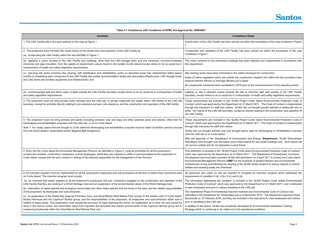

in the boundaries of the map contained in Figure

In carried out within the boundaries of the map

selected and implemented in accordance with

essary for construction.

tion footprint (but within the site boundary) have

to the commencement of this reporting period.

minimise light spill outside of the LNG Facility on of health and safety legislative requirements.

Curtis Island Environmental Protection Code of arch 2011. The Code of Conduct is implemented not brought private vehicles or watercraft onto or ectly relating to the construction and operation of

Curtis Island Environmental Protection Code of arch 2011. The Code of Conduct is implemented

used for landscaping or rehabilitation purposes

Ind Energy (Department), GLNG Downstream nts for use inside buildings only. Such plants will

Ind Environmental Protection Code of Conduct' 1. The Department of Employment, Economic sion on 8 April 2011 to access the Curtis Island es of spotter/catchers and environmental **JG facility footprint to ensure impacts to animal** 

ete an induction program which addresses the

the 'GLNG Project Curtis Island Environmental Department on 21 March 2011, and is delivered

and Environmental Code of Conduct was ember 2015. The Department approved these i the inductions for new employees and visitors

an Environmental Awareness Training ional workforce.

### **Table 2-1 Compliance with Conditions of EPBC Act Approval No. 2008/4057**

| <b>Condition</b>                                                                                                                                                                                                                                                                                                                                                                                                                                               | <b>Compliance Notes</b>                                                                                                                                                                                                                                                                                                                                                                                                                                                        |
|----------------------------------------------------------------------------------------------------------------------------------------------------------------------------------------------------------------------------------------------------------------------------------------------------------------------------------------------------------------------------------------------------------------------------------------------------------------|--------------------------------------------------------------------------------------------------------------------------------------------------------------------------------------------------------------------------------------------------------------------------------------------------------------------------------------------------------------------------------------------------------------------------------------------------------------------------------|
| 1. The LNG Facility site is the area outlined on the map at Figure 1.                                                                                                                                                                                                                                                                                                                                                                                          | Construction of the LNG Facility has been carried out within the<br>1.                                                                                                                                                                                                                                                                                                                                                                                                         |
| 2. The proponent must minimise the visual impact of the construction and operation of the LNG Facility by<br>(a) constructing the LNG Facility within the site identified in Figure 1;                                                                                                                                                                                                                                                                         | Construction and operation of the LNG Facility has been carr<br>contained in Figure 1.                                                                                                                                                                                                                                                                                                                                                                                         |
| (b) applying a colour scheme to the LNG Facility and buildings, other than the LNG storage tanks and any necessary corrosion-protected<br>structures and pipe insulation, from the palette of predominant colours found in the locality (Curtis Island) except where to do so would be in<br>contravention of health and safety legislative requirements;                                                                                                      | The colour scheme for the permanent buildings has been seled<br>this requirement.                                                                                                                                                                                                                                                                                                                                                                                              |
| (c) ensuring site works minimise tree clearing, with stabilisation and rehabilitation works on disturbed areas fully implemented within twelve<br>months of completing each component of the LNG Facility (the worker accommodation facility and associated infrastructure; LNG storage tanks;<br>and LNG trains and ancillary equipment and infrastructure); and                                                                                              | Site clearing works have been minimised to the extent necessar<br>Areas of native vegetation which are outside the construction fo<br>physical barriers (fences or drainage ditches) put in place.<br>All components mentioned were completed in 2016 prior to the o                                                                                                                                                                                                           |
| (d) minimising light spill and direct views of lights outside the LNG Facility boundary except where to do so would be in contravention of health<br>and safety legislative requirements.                                                                                                                                                                                                                                                                      | Lighting on site is directed inward towards the site to minimi<br>boundary, except where to do so would be in contravention of he                                                                                                                                                                                                                                                                                                                                              |
| 3. The proponent must not bring private motor vehicles onto the LNG site, or private watercraft into waters within 100 metres of the LNG site<br>boundary, except for activities directly relating to pre-clearance surveys, site clearance, and the construction and operation of the LNG facility.                                                                                                                                                           | These requirements are included in the 'GLNG Project Curtis<br>Conduct' which was approved by the Department on 21 March 20<br>through site inductions for staff and visitors. GLNG has not bro<br>within 100 metres of the LNG site boundary, except as directly re<br>the LNG Facility.                                                                                                                                                                                      |
| 4. The proponent must not bring animals and plants (including domestic cats and dogs and other potential pests and weeds), other than for<br>landscaping and rehabilitation purposes onto the LNG site, or on to Curtis Island.<br>Note 1: For clarity, plants that are brought to Curtis Island for landscaping and rehabilitation purposes must be native Australian species sourced<br>from the South Eastern Queensland and/or Brigalow Belt bioregion/s). | These requirements are included in the 'GLNG Project Curtis<br>Conduct' which was approved by the Department on 21 March 2<br>through site inductions for staff and visitors.<br>GLNG has not brought animals and only brought plants used<br>onto the LNG site or to Curtis Island.<br>With the approval of the Department of Environment and Er<br>Operations have brought onto the island some indoor plants for<br>not survive outside and do not represent a weed threat. |
| 5. Entry into the Curtis Island Environmental Management Precinct, as identified in Figure 2, must be prohibited for all the proponent's<br>construction workers, construction contractors, and its employees, whilst they are rostered on shifts or accommodated by the proponent on<br>Curtis Island, except with the prior consent in writing of the authority responsible for the management of this Precinct.                                             | This restriction is included in the 'GLNG Project Curtis Island En<br>which was approved by the Department on 21 March 2011. The<br>Development and Innovation provided GLNG with permission or<br>Environmental Management Precinct (EMP) for the purposes of<br>professionals during and following the clearing of the GLNG faci<br>welfare and breeding areas are minimised.                                                                                                |
| 6. An induction program must be implemented for all the proponent's employees and sub-contractors at the time or before they commence work                                                                                                                                                                                                                                                                                                                     | All personnel who come on site are required to complete an                                                                                                                                                                                                                                                                                                                                                                                                                     |
| on Curtis Island. The induction program must include:<br>(a) an overview that clearly explains to all the proponent's employees and sub-contractors engaged on the construction and operation of the                                                                                                                                                                                                                                                           | requirements of condition $6$ (a), $6$ (b), $6$ (c) and $6$ (d).<br>The information addressing this condition is included in the 'G                                                                                                                                                                                                                                                                                                                                            |
| LNG Facility that they are working in a World Heritage Area and an explanation of the environmental values of the World Heritage Area;                                                                                                                                                                                                                                                                                                                         | Protection Code of Conduct' which was approved by the Depar<br>to new employees and prior to visitors travelling to the LNG site.                                                                                                                                                                                                                                                                                                                                              |
| (b) information on listed species and ecological communities and other native species that are found in the area, and the related responsibilities<br>of the proponent, its employees and subcontractors;                                                                                                                                                                                                                                                      | The Operational Phase Environmental Induction material and Er                                                                                                                                                                                                                                                                                                                                                                                                                  |
| (c) an explanation of the Rodds Bay Dugong Protection Area, and Great Barrier Reef Marine Park zoning on the eastern side of Curtis Island,<br>Rodds Peninsula and the Capricorn Bunker group, and the responsibilities of the proponent, its employees and subcontractors within and in<br>relation to these areas. This explanation must include the provision of maps depicting the zones, an explanation as to what can and cannot be                      | submitted to the Department for review/approval on 9 Decembe<br>documents on 10 February 2016, and they are included in the ir<br>prior to travelling to the LNG site.                                                                                                                                                                                                                                                                                                         |
| done in the various zones, and information about how important the terrestrial and marine environments of the Capricorn Bunker group are to<br>conserving biodiversity within the Great Barrier Reef Marine Park; and                                                                                                                                                                                                                                          | In addition to the above, GLNG has proactively developed an Er<br>Package which is continuing to be rolled out to the operational w                                                                                                                                                                                                                                                                                                                                            |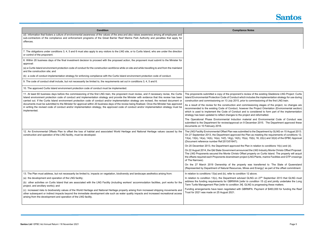

- W of the existing Gladstone LNG Project: Curtis Iudes the implementation strategy for use during commissioning of the first LNG train.
- ssioning stages of the project, no changes are the Project Orientation (Environmental section) considered to form part of the implementation t and reformatted.
- ial and Environmental Code of Conduct was cember 2015. The Department approved these
- to the Department by GLNG on 15 August 2013. In as meeting the requirements of conditions 12, 15(b), 16, 22(c) and 32(d) of the EPBC Approval
- $n$  in relation to conditions 14(c) and (d).
- the LNG Industry Monte Christo Offset Proposal. roperty on Curtis Island. The property will acquit LNG Plants, marine Facilities and GTP crossings
- as transferred to 'The State of Queensland and Energy)' as part of the offset commitment.
- delation to conditions !
- ING on 27<sup>th</sup> September 2013 that GLNG must condition 15 c)] and jointly undertake the Long IG is progressing these matters.
- IPA. Payment of \$463,000 for funding the Reef

| <b>Condition</b>                                                                                                                                                                                                                                                                                                                                                                                                                            | <b>Compliance Notes</b>                                                                                                                                                                                                                                     |
|---------------------------------------------------------------------------------------------------------------------------------------------------------------------------------------------------------------------------------------------------------------------------------------------------------------------------------------------------------------------------------------------------------------------------------------------|-------------------------------------------------------------------------------------------------------------------------------------------------------------------------------------------------------------------------------------------------------------|
| (d) information that fosters a culture of environmental awareness of the values of the area and also raises awareness among all employees and<br>sub-contractors of the compliance and enforcement programs of the Great Barrier Reef Marine Park Authority and penalties that apply for<br>offences.                                                                                                                                       |                                                                                                                                                                                                                                                             |
| 7. The obligations under conditions 3, 4, 5 and 6 must also apply to any visitors to the LNG site, or to Curtis Island, who are under the direction<br>or control of the proponent.                                                                                                                                                                                                                                                         |                                                                                                                                                                                                                                                             |
| 8. Within 20 business days of the final investment decision to proceed with the proposed action, the proponent must submit to the Minister for<br>approval:                                                                                                                                                                                                                                                                                 |                                                                                                                                                                                                                                                             |
| (a) a Curtis Island environment protection code of conduct for the construction workforce while on site and while travelling to and from the mainland<br>and the construction site; and                                                                                                                                                                                                                                                     |                                                                                                                                                                                                                                                             |
| (b) a code of conduct implementation strategy for enforcing compliance with the Curtis Island environment protection code of conduct.                                                                                                                                                                                                                                                                                                       |                                                                                                                                                                                                                                                             |
| 9. The code of conduct shall include, but not necessarily be limited to, the requirements set out in conditions 3, 4, 5 and 6.                                                                                                                                                                                                                                                                                                              |                                                                                                                                                                                                                                                             |
| 10. The approved Curtis Island environment protection code of conduct must be implemented.                                                                                                                                                                                                                                                                                                                                                  |                                                                                                                                                                                                                                                             |
| 11. At least 60 business days before the commissioning of the first LNG train, the proponent must review, and if necessary revise, the Curtis<br>Island environment protection code of conduct and implementation strategy and provide the Minister with evidence that this review has been<br>carried out. If the Curtis Island environment protection code of conduct and/or implementation strategy are revised, the revised document or | The proponents submitted a copy of the proponent's review of<br>Island Environmental Protection Code of Conduct which include<br>construction and commissioning on 13 July 2015, prior to comr                                                              |
| documents must be submitted to the Minister for approval within 20 business days of the review being finalised. Once the Minister has approved<br>in writing the revised code of conduct and/or implementation strategy, the approved code of conduct and/or implementation strategy must be<br>implemented.                                                                                                                                | As a result of the review for the construction and commission<br>recommended to the existing Code of Conduct, however the I<br>which is used to implement the Code of Conduct and is con<br>strategy has been updated to reflect changes to the project and |
|                                                                                                                                                                                                                                                                                                                                                                                                                                             | The Operational Phase Environmental Induction material a<br>submitted to the Department for review/approval on 9 Decemb<br>documents on 10 February 2016.                                                                                                   |
| 12. An Environmental Offsets Plan to offset the loss of habitat and associated World Heritage and National Heritage values caused by the<br>construction and operation of the LNG facility, must be developed.                                                                                                                                                                                                                              | The LNG Facility Environmental Offset Plan was submitted to th<br>On 27 September 2013, the Department approved the Plan as<br>13(a), 13(b), 14(a), 14(b), 14(e), 14(f), 14(g), 14(h), 15(a), 15(b)<br>(Document reference number Ref:2013/01647).          |
|                                                                                                                                                                                                                                                                                                                                                                                                                                             | On 20 December 2013, the Department approved the Plan in r                                                                                                                                                                                                  |
|                                                                                                                                                                                                                                                                                                                                                                                                                                             | On 22 August 2014, the Qld State Government announced the L<br>The LNG Proponents secured the Monte Christo Offset proper<br>the offsets required each Proponents downstream project (LNG<br>of The Narrows).                                               |
|                                                                                                                                                                                                                                                                                                                                                                                                                                             | On the 27 March 2019 Ownership of the property was t<br>(Represented by Department of Natural Resources, Mines and                                                                                                                                          |
| 13. The Plan must address, but not necessarily be limited to, impacts on vegetation, biodiversity and landscape aesthetics arising from:                                                                                                                                                                                                                                                                                                    | In relation to conditions 13(a) and (b), refer to condition 12 abo                                                                                                                                                                                          |
| (a) the development and operation of the LNG facility;<br>(b) other activities on Curtis Island that are associated with the LNG Facility (including workers' accommodation facilities, port works for the<br>project, and ancillary works); and                                                                                                                                                                                            | In relation to condition 13(c), the Department advised GLNG<br>address the funding requirements for GBRWHA [refer to cond<br>Term Turtle Management Plan [refer to condition 34]. GLNG is                                                                   |
| (c) increased risks to biodiversity values of the World Heritage and National Heritage property arising from increased shipping movements and<br>other subsequent or indirect impacts beyond the immediate development site such as water quality impacts and increased recreational access<br>arising from the development and operation of the LNG facility.                                                                              | Funding arrangements have been negotiated with GBRMPA.<br>Trust for 2021 was made on 25 August 2021.                                                                                                                                                        |
|                                                                                                                                                                                                                                                                                                                                                                                                                                             |                                                                                                                                                                                                                                                             |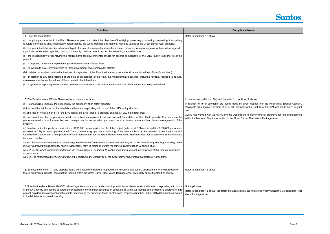| <b>Condition</b>                                                                                                                                                                                                                                                                                                                                                                                                                                                      | <b>Compliance Notes</b>                                                                  |
|-----------------------------------------------------------------------------------------------------------------------------------------------------------------------------------------------------------------------------------------------------------------------------------------------------------------------------------------------------------------------------------------------------------------------------------------------------------------------|------------------------------------------------------------------------------------------|
| 14. The Plan must detail:                                                                                                                                                                                                                                                                                                                                                                                                                                             | Refer to condition 12 above.                                                             |
| (a) the principles adopted in the Plan. These principles must reflect the objective of identifying, protecting, conserving, presenting, transmitting<br>to future generations and, if necessary, rehabilitating, the World Heritage and National Heritage values of the Great Barrier Reef property;                                                                                                                                                                  |                                                                                          |
| (b) the predicted total loss (in extent and type) of areas of ecological and aesthetic value, (including remnant vegetation, high value regrowth,<br>significant conservation species, habitat, biodiversity corridors, scenic vistas of outstanding natural beauty);                                                                                                                                                                                                 |                                                                                          |
| (c) the methodology for identifying the requirements for environmental offsets for specific components of the LNG Facility over the life of the<br>project;                                                                                                                                                                                                                                                                                                           |                                                                                          |
| (d) a proposed timeline for implementing the Environmental Offsets Plan;                                                                                                                                                                                                                                                                                                                                                                                              |                                                                                          |
| (e) relevance to any Commonwealth or State government requirements for offsets;                                                                                                                                                                                                                                                                                                                                                                                       |                                                                                          |
| (f) in relation to any land retained at the time of preparation of the Plan, the location, size and environmental values of the offsets (land);                                                                                                                                                                                                                                                                                                                       |                                                                                          |
| (g) in relation to any land retained at the time of preparation of the Plan, the management measures, including funding, required to secure,<br>maintain and enhance the values of the proposed offset (land); and                                                                                                                                                                                                                                                    |                                                                                          |
| (h) a system for reporting to the Minister on offset arrangements, their management and how offset values are being maintained.                                                                                                                                                                                                                                                                                                                                       |                                                                                          |
|                                                                                                                                                                                                                                                                                                                                                                                                                                                                       |                                                                                          |
| 15. The Environmental Offsets Plan must as a minimum include:                                                                                                                                                                                                                                                                                                                                                                                                         | In relation to conditions 15(a) and (b), refer to condition 12 abo                       |
| (a) to offset direct impacts, the securing by the proponent of an offset property:                                                                                                                                                                                                                                                                                                                                                                                    | In relation to 15(c) payments are being made by direct dep                               |
| (i) that contains attributes or characteristics at least corresponding with those of the LNG facility site; and                                                                                                                                                                                                                                                                                                                                                       | Payments are ongoing. Payment of \$463,000 for funding the R<br>2021.                    |
| (ii) at a ratio of no less than 5:1 of the LNG facility site area (that is, a property of at least 1,200 ha in total area);                                                                                                                                                                                                                                                                                                                                           | GLNG has worked with GBRMPA and the Department to iden                                   |
| (b) a commitment by the proponent must use its best endeavours to secure National Park status for the offset property. At a minimum the<br>proponent must ensure the retention and management for conservation purposes, under a secure permanent land tenure arrangement, of the<br>property.                                                                                                                                                                        | within the Mackay / Capricorn section of the Great Barrier Reef                          |
| (c) to offset indirect impacts, a contribution of \$200,000 per annum for the life of the project (indexed at CPI) and in addition \$100,000 per annum<br>(indexed at CPI) for each operating LNG Train (commencing upon commissioning of the relevant Train) to be provided to the Australian and<br>Queensland Government's joint program of field management for the Great Barrier Reef World Heritage Area, for expenditure in the Mackay /<br>Capricorn Section. |                                                                                          |
| Note 1: For clarity, contributions or offsets negotiated with the Queensland Government with respect to the LNG Facility site (e.g. including under<br>the Environmental Management Precinct Agreement) may, in whole or in part, meet the requirements of Condition 15(a).                                                                                                                                                                                           |                                                                                          |
| Note 2: A Plan which sufficiently addresses the requirements of condition 15 will be considered to meet the purposes of the Plan as described<br>in condition 13.                                                                                                                                                                                                                                                                                                     |                                                                                          |
| Note 3: The joint program of field management is related to the objectives of the Great Barrier Reef Intergovernmental Agreement.                                                                                                                                                                                                                                                                                                                                     |                                                                                          |
| 16. Subject to condition 17, any property that is purchased or otherwise retained under a secure land tenure arrangement for the purposes of<br>the Environmental Offsets Plan must be located within the Great Barrier Reef World Heritage Area, preferably on Curtis island or nearby.                                                                                                                                                                              | Refer to condition 12 above.                                                             |
| 17. If, within the Great Barrier Reef World Heritage Area, no area of land containing attributes or characteristics at least corresponding with those                                                                                                                                                                                                                                                                                                                 | Not applicable.                                                                          |
| of the LNG facility site can be secured and protected in the manner described in condition 15 within 24 months of the Minister's approval of this<br>project, an alternative proposal and timetable for acquiring (by purchase, lease or otherwise) property other than in the GBRWHA must be provided<br>to the Minister for approval in writing.                                                                                                                    | Refer to condition 12 above; the offset site approved by the Mir<br>World Heritage Area. |
|                                                                                                                                                                                                                                                                                                                                                                                                                                                                       |                                                                                          |



deration to condition the set of the set of the conditions in the set of the *above*.

In deposit into the Reef Trust Special Account. the Reef Trust for 2021 was made on 25 August

 $\theta$  identify priority programs for field management Reef World Heritage Area.

ne Minister is wholly within the Great Barrier Reef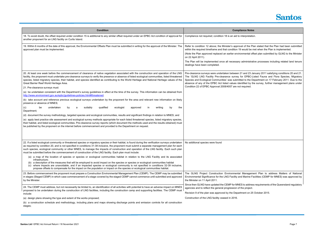

- ne Plan stated that the Plan had been submitted be met when the Plan is implemented.
- tal offset plan submitted by GLNG to the Minister
- istrative processes including related land tenure

23 January 2011 satisfying conditions 20 and 21. BC-Listed Fauna and Flora Species, Migratory he Department on 17 February 2011. Due to the by the survey, further management plans under

gement Plan to address Matters of National  $\check{\phantom{\phi}}$ ne Facilities (CEMP for MNES) was approved by

Idress requirements of the Queensland regulatory

on 25 October 2015.

| <b>Condition</b>                                                                                                                                                                                                                                                                                                                                                                                                                                                                                                                                                                                                                                                                                                                                                                                                                                                                                                                                                                                                                                                                                                                                                                                                                                                                                                                                                                                                                                                                                                                                                                                                                                         | <b>Compliance Notes</b>                                                                                                                                                                                                                                                                                                                                                                                          |
|----------------------------------------------------------------------------------------------------------------------------------------------------------------------------------------------------------------------------------------------------------------------------------------------------------------------------------------------------------------------------------------------------------------------------------------------------------------------------------------------------------------------------------------------------------------------------------------------------------------------------------------------------------------------------------------------------------------------------------------------------------------------------------------------------------------------------------------------------------------------------------------------------------------------------------------------------------------------------------------------------------------------------------------------------------------------------------------------------------------------------------------------------------------------------------------------------------------------------------------------------------------------------------------------------------------------------------------------------------------------------------------------------------------------------------------------------------------------------------------------------------------------------------------------------------------------------------------------------------------------------------------------------------|------------------------------------------------------------------------------------------------------------------------------------------------------------------------------------------------------------------------------------------------------------------------------------------------------------------------------------------------------------------------------------------------------------------|
| 18. To avoid doubt, the offset required under condition 15 is additional to any similar offset required under an EPBC Act condition of approval for<br>another proponent for an LNG facility on Curtis Island.                                                                                                                                                                                                                                                                                                                                                                                                                                                                                                                                                                                                                                                                                                                                                                                                                                                                                                                                                                                                                                                                                                                                                                                                                                                                                                                                                                                                                                           | Compliance not required; condition 18 is an aid to interpretation.                                                                                                                                                                                                                                                                                                                                               |
| 19. Within 6 months of the date of this approval, the Environmental Offsets Plan must be submitted in writing for the approval of the Minister. The<br>approved plan must be implemented.                                                                                                                                                                                                                                                                                                                                                                                                                                                                                                                                                                                                                                                                                                                                                                                                                                                                                                                                                                                                                                                                                                                                                                                                                                                                                                                                                                                                                                                                | Refer to condition 12 above; the Minister's approval of the Plar<br>within the required timeframe and that condition 19 would be me<br>(Note the Plan approved replaced an earlier environmental offse<br>on 22 April 2011).<br>The Plan will be implemented once all necessary administrative<br>dealings have been completed.                                                                                  |
| 20. At least one week before the commencement of clearance of native vegetation associated with the construction and operation of the LNG<br>facility, the proponent must undertake pre-clearance surveys to verify the presence or absence of listed ecological communities, listed threatened<br>species, listed migratory species, their habitat, and species identified as contributing to the World Heritage and National Heritage values of the<br>Great Barrier Reef World Heritage Area.<br>21. Pre-clearance surveys must:<br>(a) be undertaken consistent with the Department's survey guidelines in effect at the time of the survey. This information can be obtained from<br>http://www.environment.gov.au/epbc/guidelines-policies.html#threatened;<br>(b) take account and reference previous ecological surveys undertaken by the proponent for the area and relevant new information on likely<br>presence or absence of MNES;<br>undertaken<br>suitably<br>qualified<br>ecologist<br>writing<br>be<br>by<br>approved<br>in<br>by<br>the<br>(c)<br>a<br>Department;<br>(d) document the survey methodology, targeted species and ecological communities, results and significant findings in relation to MNES; and<br>(e) apply best practice site assessment and ecological survey methods appropriate for each listed threatened species, listed migratory species,<br>their habitat, and listed ecological communities. Pre-clearance survey reports (which document the methods used and the results obtained) must<br>be published by the proponent on the internet before commencement and provided to the Department on request. | Pre-clearance surveys were undertaken between 21 and 23 Jan<br>The 'GLNG LNG Facility Pre-clearance survey for EPBC-List<br>Species and Ecological Communities' was submitted to the Dep<br>absence of any of the EPBC Act listed values identified by the<br>Condition 22 of EPBC Approval 2008/4057 are not required.                                                                                          |
| 22. If a listed ecological community or threatened species or migratory species or their habitat, is found during the verification surveys undertaken<br>as required by condition 20, and is not specified in conditions 31-38 inclusive, the proponent must submit a separate management plan for each<br>such species, ecological community or other MNES, to manage the impacts of construction and operation of the LNG facility. Each such plan<br>must be submitted before the commencement of construction of the LNG facility. Each plan must include:<br>(a) a map of the location of species or species or ecological communities habitat in relation to the LNG Facility and its associated<br>infrastructure;<br>(b) a description of the measures that will be employed to avoid impact on the species or species or ecological communities habitat<br>where impacts are unavoidable, and if an impacted species or ecological community is not specified in conditions 32-39 inclusive,<br>propose offsets to compensate for the impact on the population or impact on the species or ecological communities habitat.                                                                                                                                                                                                                                                                                                                                                                                                                                                                                                                      | No additional species were found                                                                                                                                                                                                                                                                                                                                                                                 |
| 23. Before commencement the proponent must prepare a Construction Environmental Management Plan (CEMP). The CEMP may be submitted<br>in stages (Staged CEMP) in which case commencement of a stage covered by the staged CEMP cannot commence until submitted and approved<br>by the Minister.<br>24. The CEMP must address, but not necessarily be limited to, an identification of all activities with potential to have an adverse impact on MNES<br>proposed to be undertaken during the construction of LNG facilities, including the construction camp and supporting facilities. The CEMP must<br>include:<br>(a) design plans showing the type and extent of the works proposed;<br>(b) a construction schedule and methodology, including plans and maps showing discharge points and emission controls for all construction                                                                                                                                                                                                                                                                                                                                                                                                                                                                                                                                                                                                                                                                                                                                                                                                                    | The GLNG Project Construction Environmental Managemer<br>Environmental Significance for the LNG Facility and Marine Fac<br>the Minister on 11 April 2011.<br>Since then GLNG have updated the CEMP for MNES to address i<br>agencies and to reflect the general progression of the project.<br>Revision 9 of the plan was approved by the Department on 25 C<br>Construction of the LNG facility ceased in 2016. |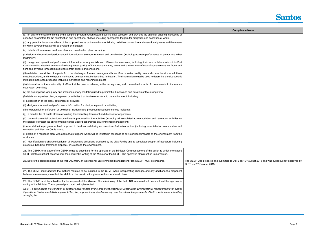| <b>Condition</b>                                                                                                                                                                                                                                                                                                                                                                    | <b>Compliance Notes</b>                                                                           |
|-------------------------------------------------------------------------------------------------------------------------------------------------------------------------------------------------------------------------------------------------------------------------------------------------------------------------------------------------------------------------------------|---------------------------------------------------------------------------------------------------|
| (c) an environmental monitoring and a sampling program which details baseline data collection and provides the basis for ongoing monitoring of<br>specified parameters for the construction and operational phases, including appropriate triggers for mitigation and cessation of works;                                                                                           |                                                                                                   |
| (d) any potential impacts or effects of the proposed works on the environment during both the construction and operational phases and the means<br>by which adverse impacts will be avoided or mitigated;                                                                                                                                                                           |                                                                                                   |
| (e) details of the sewage treatment plant and desalination plant, including:                                                                                                                                                                                                                                                                                                        |                                                                                                   |
| (i) design and operational performance information for sewage treatment and desalination (including acoustic performance of pumps and other<br>machinery);                                                                                                                                                                                                                          |                                                                                                   |
| (ii) design and operational performance information for any outfalls and diffusers for emissions, including liquid and solid emissions into Port<br>Curtis including detailed analysis of existing water quality, effluent contaminants, acute and chronic toxic effects of contaminants on fauna and<br>flora and any long term ecological effects from outfalls and emissions;    |                                                                                                   |
| (iii) a detailed description of impacts from the discharge of treated sewage and brine. Source water quality data and characteristics of additives<br>must be provided, and the disposal methods to be used must be described in the plan. The information must be used to determine the site specific<br>mitigation measures proposed, including monitoring and reporting regimes; |                                                                                                   |
| (iv) information on the eco-toxicity of effluent at the point of release, in the mixing zone, and cumulative impacts of contaminants in the marine<br>ecosystem over time;                                                                                                                                                                                                          |                                                                                                   |
| (v) the assumptions, adequacy and limitations of any modelling used to predict the dimensions and duration of the mixing zone;                                                                                                                                                                                                                                                      |                                                                                                   |
| (f) details on any other plant, equipment or activities that involve emissions to the environment, including:                                                                                                                                                                                                                                                                       |                                                                                                   |
| (i) a description of the plant, equipment or activities;                                                                                                                                                                                                                                                                                                                            |                                                                                                   |
| (ii) design and operational performance information for plant, equipment or activities;                                                                                                                                                                                                                                                                                             |                                                                                                   |
| (iii) the potential for unforseen or accidental incidents and proposed responses to these incidents;                                                                                                                                                                                                                                                                                |                                                                                                   |
| (g) a detailed list of waste streams including their handling, treatment and disposal arrangements;                                                                                                                                                                                                                                                                                 |                                                                                                   |
| (h) the environmental protection commitments proposed for the activities (including all associated accommodation and recreation activities on<br>the Island) to protect the environmental values under best practice environmental management;                                                                                                                                      |                                                                                                   |
| (i) a rehabilitation program for land proposed to be disturbed during construction of all infrastructure (including associated accommodation and<br>recreation activities) on Curtis Island;                                                                                                                                                                                        |                                                                                                   |
| (j) details of a response plan, with appropriate triggers, which will be initiated in response to any significant impacts on the environment from the<br>works; and                                                                                                                                                                                                                 |                                                                                                   |
| (k) identification and characterisation of all wastes and emissions produced by the LNG Facility and its associated support infrastructure including<br>its source, handling, treatment, disposal, or release to the environment.                                                                                                                                                   |                                                                                                   |
| 25. The CEMP, or a stage of the CEMP, must be submitted for the approval of the Minister. Commencement of the action to which the staged<br>CEMP relates must not occur without the approval in writing of the Minister of the CEMP. The approved plan must be implemented.                                                                                                         |                                                                                                   |
| 26. Before the commissioning of the first LNG train, an Operational Environmental Management Plan (OEMP) must be prepared.                                                                                                                                                                                                                                                          | The OEMP was prepared and submitted to DoTE on 19th Augu<br>DoTE on 2 <sup>nd</sup> October 2015. |
| 27. The OEMP must address the matters required to be included in the CEMP while incorporating changes and any additions the proponent<br>believes are necessary to reflect the shift from the construction phase to the operational phase.                                                                                                                                          |                                                                                                   |
| 28. The OEMP must be submitted for the approval of the Minister. Commissioning of the first LNG train must not occur without the approval in<br>writing of the Minister. The approved plan must be implemented.                                                                                                                                                                     |                                                                                                   |
| Note: To avoid doubt, if a condition of another approval held by the proponent requires a Construction Environmental Management Plan and/or<br>Operational Environmental Management Plan, the proponent may simultaneously meet the relevant requirements of both conditions by submitting<br>a single plan.                                                                        |                                                                                                   |
|                                                                                                                                                                                                                                                                                                                                                                                     |                                                                                                   |



August 2015 and was subsequently approved by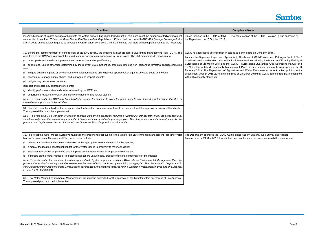| <b>Condition</b>                                                                                                                                                                                                                                                                                                                                                                                                                                                       | <b>Compliance Notes</b>                                                                                                                                                                                               |
|------------------------------------------------------------------------------------------------------------------------------------------------------------------------------------------------------------------------------------------------------------------------------------------------------------------------------------------------------------------------------------------------------------------------------------------------------------------------|-----------------------------------------------------------------------------------------------------------------------------------------------------------------------------------------------------------------------|
|                                                                                                                                                                                                                                                                                                                                                                                                                                                                        |                                                                                                                                                                                                                       |
| 29. Any discharge of treated sewage effluent into the waters surrounding Curtis Island must, at minimum, meet the definition of tertiary treatment<br>as specified in section 135(3) of the Great Barrier Reef Marine Park Regulations 1983 and be in accord with GBRMPA Sewage Discharge Policy<br>March 2005, unless studies required to develop the CEMP under conditions 23 and 24 indicate that more stringent pollutant limits are necessary.                    | This is included in the CEMP for MNES. The latest version of the CEMP (Revision 9) was approved by<br>the Department on 15 October 2015.                                                                              |
| 30. Before the commencement of construction of the LNG facility, the proponent must prepare a Quarantine Management Plan (QMP). The<br>objectives of the QMP are to prevent the introduction of non-endemic species on to Curtis Island. The QMP must include measures to:                                                                                                                                                                                             | GLNG has addressed this condition in stages as per the note on Condition 30 (h).<br>As such the Department approved 'Appendix 2, Attachment 2 (GLNG Weed and Pathogen Control Plan)'                                  |
| (a) detect pests and weeds, and prevent weed introduction and/or proliferation;                                                                                                                                                                                                                                                                                                                                                                                        | to address works undertaken prior to the first international vessel using the Materials Offloading Facility at<br>Curtis Island on 21 March 2011 and the 'GLNG - Curtis Island Quarantine Area Operations Manual' and |
| (b) control and, unless otherwise determined by the relevant State authorities, eradicate detected non-indigenous terrestrial species (including<br>weeds);                                                                                                                                                                                                                                                                                                            | 'GLNG - Curtis Island Biosecurity Management Plan' for international shipments was approved on 6<br>February 2013. The Department of Agriculture and Water Resources undertook a first point of entry                 |
| (c) mitigate adverse impacts of any control and eradication actions on indigenous species taken against detected pests and weeds;                                                                                                                                                                                                                                                                                                                                      | assessment through 2018-2019 and confirmed on 29 March 2019 that GLNG demonstrated full compliance                                                                                                                    |
| (d) assess risk, manage supply chains, and manage and inspect vessels;                                                                                                                                                                                                                                                                                                                                                                                                 | with all biosecurity standards.                                                                                                                                                                                       |
| (e) mitigate any pest or weed impacts;                                                                                                                                                                                                                                                                                                                                                                                                                                 |                                                                                                                                                                                                                       |
| (f) report and record any quarantine incidents;                                                                                                                                                                                                                                                                                                                                                                                                                        |                                                                                                                                                                                                                       |
| (g) identify performance standards to be achieved by the QMP; and                                                                                                                                                                                                                                                                                                                                                                                                      |                                                                                                                                                                                                                       |
| (h) undertake a review of the QMP and identify the need for any further studies.                                                                                                                                                                                                                                                                                                                                                                                       |                                                                                                                                                                                                                       |
| Note: To avoid doubt, the QMP may be submitted in stages, for example to cover the period prior to any planned direct arrival at the MOF of<br>international imports, and after this time.                                                                                                                                                                                                                                                                             |                                                                                                                                                                                                                       |
| 31. The QMP must be submitted for the approval of the Minister. Commencement must not occur without the approval in writing of the Minister.<br>The approved Plan must be implemented.                                                                                                                                                                                                                                                                                 |                                                                                                                                                                                                                       |
| Note: To avoid doubt, if a condition of another approval held by the proponent requires a Quarantine Management Plan, the proponent may<br>simultaneously meet the relevant requirements of both conditions by submitting a single plan. The plan, or components thereof, may also be<br>prepared and implemented in consultation with the Gladstone Ports Corporation or other bodies.                                                                                |                                                                                                                                                                                                                       |
|                                                                                                                                                                                                                                                                                                                                                                                                                                                                        |                                                                                                                                                                                                                       |
| 32. To protect the Water Mouse (Xeromys myoides), the proponent must submit to the Minister an Environmental Management Plan (the Water<br>Mouse Environmental Management Plan) which must include:                                                                                                                                                                                                                                                                    | The Department approved the 'GLNG Curtis Island Facility: Water Mouse Survey and Habitat<br>Assessment' on 21 March 2011, and it has been implemented in accordance with this requirement.                            |
| (a) results of a pre-clearance survey undertaken at the appropriate time and season for the species;                                                                                                                                                                                                                                                                                                                                                                   |                                                                                                                                                                                                                       |
| (b) a map of the location of potential habitat for the Water Mouse in proximity to marine facilities;                                                                                                                                                                                                                                                                                                                                                                  |                                                                                                                                                                                                                       |
| (c) measures that will be employed to avoid impacts on the Water Mouse or its potential habitat; and                                                                                                                                                                                                                                                                                                                                                                   |                                                                                                                                                                                                                       |
| (d) if impacts on the Water Mouse or its potential habitat are unavoidable, propose offsets to compensate for the impacts.                                                                                                                                                                                                                                                                                                                                             |                                                                                                                                                                                                                       |
| Note: To avoid doubt, if a condition of another approval held by the proponent requires a Water Mouse Environmental Management Plan, the<br>proponent may simultaneously meet the relevant requirements of both conditions by submitting a single plan. The plan may also be prepared in<br>consultation with the Gladstone Ports Corporation in accordance with conditions imposed for the Gladstone Western Basin Dredging and Disposal<br>Project (EPBC 2009/4904). |                                                                                                                                                                                                                       |
| 33. The Water Mouse Environmental Management Plan must be submitted for the approval of the Minister within six months of this Approval.<br>The approved plan must be implemented.                                                                                                                                                                                                                                                                                     |                                                                                                                                                                                                                       |

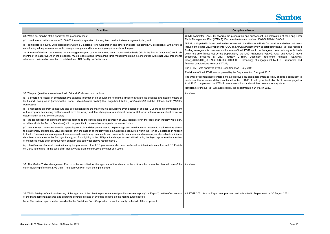

subsequent implementation of the Long Term rumber: 3301-GLNG-4-1.3-0049.

ladstone Ports Corporation and other port users ith the view to establishing a LTTMP and required IP could not be agreed on an industry wide basis Froponents (GLNG, QGC and APLNG) have Document reference numbers: SEWPaC blogy of engagement by LNG Proponents and

nt on 3 August 2015.

sition agreement to jointly engage a consultant to Eco Logical Australia Pty Ltd was engaged in I work has been underway since.

t on 24 March 2020.

ed to Department on 30 August 2021.

| <b>Condition</b>                                                                                                                                                                                                                                                                                                                                                                                                                                                                                                                                                                                                                                                                              | <b>Compliance Notes</b>                                                                                                                                                                                                                                                                                                                                                                                       |
|-----------------------------------------------------------------------------------------------------------------------------------------------------------------------------------------------------------------------------------------------------------------------------------------------------------------------------------------------------------------------------------------------------------------------------------------------------------------------------------------------------------------------------------------------------------------------------------------------------------------------------------------------------------------------------------------------|---------------------------------------------------------------------------------------------------------------------------------------------------------------------------------------------------------------------------------------------------------------------------------------------------------------------------------------------------------------------------------------------------------------|
| 34. Within six months of this approval, the proponent must<br>(a) contribute an initial amount of \$150 000 towards preparation of a long term marine turtle management plan; and                                                                                                                                                                                                                                                                                                                                                                                                                                                                                                             | GLNG committed \$150,000 towards the preparation and sub<br>Turtle Management Plan (LTTMP). Document reference numb                                                                                                                                                                                                                                                                                           |
| (b) participate in industry wide discussions with the Gladstone Ports Corporation and other port users (including LNG proponents) with a view to<br>establishing a long term marine turtle management plan and future funding requirements for the plan.<br>35. If terms of the long term marine turtle management plan cannot be agreed on an industry wide basis (within the Port of Gladstone) within six<br>months of this approval, then the proponent must prepare a long term marine turtle management plan in consultation with other LNG proponents<br>who have confirmed an intention to establish an LNG Facility on Curtis Island.                                                | GLNG participated in industry wide discussions with the Gladst<br>including the other LNG Proponents (QGC and APLNG) with the<br>funding arrangements. However as the terms of the LTTMP co<br>within the time frames set by the Department, the LNG Pro<br>collectively prepared a LNG Industry LTTMP. Doc<br>letter_23/07/2013_QCLNG-COR-QGC-010360] - Chronology<br>financial contributions towards LTTMP; |
|                                                                                                                                                                                                                                                                                                                                                                                                                                                                                                                                                                                                                                                                                               | The LTTMP was approved by the Department on 3 July 2014.                                                                                                                                                                                                                                                                                                                                                      |
|                                                                                                                                                                                                                                                                                                                                                                                                                                                                                                                                                                                                                                                                                               | Revision 4 of the LTTMP was approved by the Department on                                                                                                                                                                                                                                                                                                                                                     |
|                                                                                                                                                                                                                                                                                                                                                                                                                                                                                                                                                                                                                                                                                               | The three proponents have entered into a collective acquisition<br>implement the recommendations contained in the LTTMP. Ec<br>April 2016 to implement the LTTMP recommendations and wor                                                                                                                                                                                                                      |
|                                                                                                                                                                                                                                                                                                                                                                                                                                                                                                                                                                                                                                                                                               | Revision 5 of the LTTMP was approved by the department on 2                                                                                                                                                                                                                                                                                                                                                   |
| 36. The plan (in either case referred to in 34 and 35 above), must include:                                                                                                                                                                                                                                                                                                                                                                                                                                                                                                                                                                                                                   | As above.                                                                                                                                                                                                                                                                                                                                                                                                     |
| (a) a program to establish comprehensive baseline information on populations of marine turtles that utilise the beaches and nearby waters of<br>Curtis and Facing Island (including the Green Turtle (Chelonia mydas), the Loggerhead Turtle (Caretta caretta) and the Flatback Turtle (Natator<br>depressus);                                                                                                                                                                                                                                                                                                                                                                                |                                                                                                                                                                                                                                                                                                                                                                                                               |
| (b) a monitoring program to measure and detect changes to the marine turtle populations over a period of at least 10 years from commencement<br>of the program. Monitoring methods must have the ability to detect changes at a statistical power of 0.8, or an alternative statistical power as<br>determined in writing by the Minister;                                                                                                                                                                                                                                                                                                                                                    |                                                                                                                                                                                                                                                                                                                                                                                                               |
| (c) the identification of significant activities relating to the construction and operation of LNG facilities (or in the case of an industry wide plan,<br>activities within the Port of Gladstone) with the potential to cause adverse impacts on marine turtles;                                                                                                                                                                                                                                                                                                                                                                                                                            |                                                                                                                                                                                                                                                                                                                                                                                                               |
| (d) management measures including operating controls and design features to help manage and avoid adverse impacts to marine turtles shown<br>to be adversely impacted by LNG operations (or in the case of an industry wide plan, activities conducted within the Port of Gladstone). In relation<br>to the LNG operations, management measures will include any reasonable and practicable measures found necessary or desirable to minimise<br>disturbance to marine turtles from gas flaring, and from lighting of the LNG plant and ships moored at the loading berth (except where the adoption<br>of measures would be in contravention of health and safety legislative requirements). |                                                                                                                                                                                                                                                                                                                                                                                                               |
| (e) Identification of annual contributions by the proponent, other LNG proponents who have confirmed an intention to establish an LNG Facility<br>on Curtis Island and, in the case of an industry wide plan, contributions by other port users.                                                                                                                                                                                                                                                                                                                                                                                                                                              |                                                                                                                                                                                                                                                                                                                                                                                                               |
| 37. The Marine Turtle Management Plan must be submitted for the approval of the Minister at least 3 months before the planned date of the<br>commissioning of the first LNG train. The approved Plan must be implemented.                                                                                                                                                                                                                                                                                                                                                                                                                                                                     | As above.                                                                                                                                                                                                                                                                                                                                                                                                     |
| 38. Within 60 days of each anniversary of the approval of the plan the proponent must provide a review report ("the Report") on the effectiveness<br>of the management measures and operating controls directed at avoiding impacts on the marine turtle species.<br>Note: The review report may be provided by the Gladstone Ports Corporation or another entity on behalf of the proponent.                                                                                                                                                                                                                                                                                                 | A LTTMP 2021 Annual Report was prepared and submitted to                                                                                                                                                                                                                                                                                                                                                      |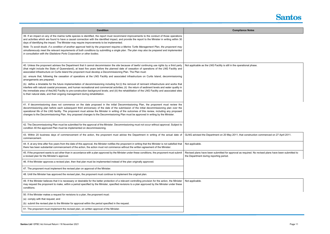| <b>Condition</b>                                                                                                                                                                                                                                                                                                                                                                                                                                                                                                                                                     | <b>Compliance Notes</b>                                                                                  |
|----------------------------------------------------------------------------------------------------------------------------------------------------------------------------------------------------------------------------------------------------------------------------------------------------------------------------------------------------------------------------------------------------------------------------------------------------------------------------------------------------------------------------------------------------------------------|----------------------------------------------------------------------------------------------------------|
| 39. If an impact on any of the marine turtle species is identified, the report must recommend improvements to the conduct of those operations<br>and activities which are found to have a causal connection with the identified impact, and provide the report to the Minister in writing within 30<br>days of identifying the impact. The Minister may require improvements to be implemented.                                                                                                                                                                      |                                                                                                          |
| Note: To avoid doubt, if a condition of another approval held by the proponent requires a Marine Turtle Management Plan, the proponent may<br>simultaneously meet the relevant requirements of both conditions by submitting a single plan. The plan may also be prepared and implemented<br>in consultation with the Gladstone Ports Corporation or other bodies.                                                                                                                                                                                                   |                                                                                                          |
| 40. Unless the proponent advises the Department that it cannot decommission the site because of lawful continuing use rights by a third party<br>(that might include the State of Queensland), at least five years before the planned date of cessation of operations of the LNG Facility and<br>associated infrastructure on Curtis Island the proponent must develop a Decommissioning Plan. The Plan must:                                                                                                                                                        | Not applicable as the LNG Facility is still in the operational pha                                       |
| (a) ensure that, following the cessation of operations at the LNG Facility and associated infrastructure on Curtis Island, decommissioning<br>arrangements are prepared;                                                                                                                                                                                                                                                                                                                                                                                             |                                                                                                          |
| (b) define a timetable for the future implementation of decommissioning including for:(i) the removal of remnant infrastructure and works that<br>interfere with natural coastal processes, and human recreational and commercial activities; (ii) the return of sediment levels and water quality in<br>the immediate area of theLNG Facility to pre-construction background levels; and (iii) the rehabilitation of the LNG Facility and associated sites<br>to their natural state, and their ongoing management during rehabilitation.                           |                                                                                                          |
| 41. If decommissioning does not commence on the date proposed in the initial Decommissioning Plan, the proponent must review the<br>decommissioning plan before each subsequent third anniversary of the date of the submission of the initial decommissioning plan over the<br>operational life of the LNG facility. The proponent must advise the Minister in writing of the outcomes of this review, including any proposed<br>changes to the Decommissioning Plan. Any proposed changes to the Decommissioning Plan must be approved in writing by the Minister. |                                                                                                          |
| 42. The Decommissioning Plan must be submitted for the approval of the Minister. Decommissioning must not occur without approval. Subject to<br>condition 40 the approved Plan must be implemented on decommissioning.                                                                                                                                                                                                                                                                                                                                               |                                                                                                          |
| 43. Within 20 business days of commencement of the action, the proponent must advise the Department in writing of the actual date of<br>commencement.                                                                                                                                                                                                                                                                                                                                                                                                                | GLNG advised the Department on 20 May 2011, that construct                                               |
| 44. If, at any time after five years from the date of this approval, the Minister notifies the proponent in writing that the Minister is not satisfied that<br>there has been substantial commencement of the action, the action must not commence without the written agreement of the Minister.                                                                                                                                                                                                                                                                    | Not applicable.                                                                                          |
| 45. If the proponent wants to act other than in accordance with a plan approved by the Minister under these conditions, the proponent must submit<br>a revised plan for the Minister's approval.                                                                                                                                                                                                                                                                                                                                                                     | Revised plans have been submitted for approval as required. N<br>the Department during reporting period. |
| 46. If the Minister approves a revised plan, then that plan must be implemented instead of the plan originally approved.                                                                                                                                                                                                                                                                                                                                                                                                                                             |                                                                                                          |
| 47. The proponent must implement the revised plan on approval of the Minister.                                                                                                                                                                                                                                                                                                                                                                                                                                                                                       |                                                                                                          |
| 48. Until the Minister has approved the revised plan, the proponent must continue to implement the original plan.                                                                                                                                                                                                                                                                                                                                                                                                                                                    |                                                                                                          |
| 49. If the Minister believes that it is necessary or desirable for the better protection of a relevant controlling provision for the action, the Minister<br>may request the proponent to make, within a period specified by the Minister, specified revisions to a plan approved by the Minister under these<br>conditions.                                                                                                                                                                                                                                         | Not applicable.                                                                                          |
| 50. If the Minister makes a request for revisions to a plan, the proponent must:                                                                                                                                                                                                                                                                                                                                                                                                                                                                                     |                                                                                                          |
| (a) comply with that request; and                                                                                                                                                                                                                                                                                                                                                                                                                                                                                                                                    |                                                                                                          |
| (b) submit the revised plan to the Minister for approval within the period specified in the request.                                                                                                                                                                                                                                                                                                                                                                                                                                                                 |                                                                                                          |
| 51. The proponent must implement the revised plan, on written approval of the Minister.                                                                                                                                                                                                                                                                                                                                                                                                                                                                              |                                                                                                          |



al phase.

struction commenced on 27 April 2011.

red. No revised plans have been submitted to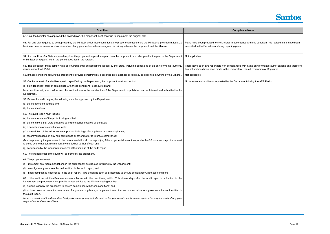| <b>Condition</b>                                                                                                                                                                                                                                                                                                                                                                                                                                                                                                                                                                                                                                                                                                                                                                                                                                                                                                                                                                                             | <b>Compliance Notes</b>                                                                                                   |
|--------------------------------------------------------------------------------------------------------------------------------------------------------------------------------------------------------------------------------------------------------------------------------------------------------------------------------------------------------------------------------------------------------------------------------------------------------------------------------------------------------------------------------------------------------------------------------------------------------------------------------------------------------------------------------------------------------------------------------------------------------------------------------------------------------------------------------------------------------------------------------------------------------------------------------------------------------------------------------------------------------------|---------------------------------------------------------------------------------------------------------------------------|
| 52. Until the Minister has approved the revised plan, the proponent must continue to implement the original plan.                                                                                                                                                                                                                                                                                                                                                                                                                                                                                                                                                                                                                                                                                                                                                                                                                                                                                            |                                                                                                                           |
| 53. For any plan required to be approved by the Minister under these conditions, the proponent must ensure the Minister is provided at least 20<br>business days for review and consideration of any plan, unless otherwise agreed in writing between the proponent and the Minister.                                                                                                                                                                                                                                                                                                                                                                                                                                                                                                                                                                                                                                                                                                                        | Plans have been provided to the Minister in accordance with th<br>submitted to the Department during reporting period.    |
| 54. If a condition of a State approval requires the proponent to provide a plan then the proponent must also provide the plan to the Department<br>or Minister on request, within the period specified in the request.                                                                                                                                                                                                                                                                                                                                                                                                                                                                                                                                                                                                                                                                                                                                                                                       | Not applicable.                                                                                                           |
| 55. The proponent must comply with all environmental authorisations issued by the State, including conditions of an environmental authority<br>issued under the EP Act.                                                                                                                                                                                                                                                                                                                                                                                                                                                                                                                                                                                                                                                                                                                                                                                                                                      | There have been two reportable non-compliances with State<br>two notifications have been made to the Queensland State Env |
| 56. If these conditions require the proponent to provide something by a specified time, a longer period may be specified in writing by the Minister.                                                                                                                                                                                                                                                                                                                                                                                                                                                                                                                                                                                                                                                                                                                                                                                                                                                         | Not applicable.                                                                                                           |
| 57. On the request of and within a period specified by the Department, the proponent must ensure that:<br>(a) an independent audit of compliance with these conditions is conducted; and<br>b) an audit report, which addresses the audit criteria to the satisfaction of the Department, is published on the Internet and submitted to the<br>Department.                                                                                                                                                                                                                                                                                                                                                                                                                                                                                                                                                                                                                                                   | No independent audit was requested by the Department during                                                               |
| 58. Before the audit begins, the following must be approved by the Department:<br>(a) the independent auditor; and<br>(b) the audit criteria.                                                                                                                                                                                                                                                                                                                                                                                                                                                                                                                                                                                                                                                                                                                                                                                                                                                                |                                                                                                                           |
| 59. The audit report must include:<br>(a) the components of the project being audited;<br>(b) the conditions that were activated during the period covered by the audit;<br>(c) a compliance/non-compliance table;<br>(d) a description of the evidence to support audit findings of compliance or non- compliance;<br>(e) recommendations on any non-compliance or other matter to improve compliance;<br>(f) a response by the proponent to the recommendations in the report (or, if the proponent does not respond within 20 business days of a request<br>to do so by the auditor, a statement by the auditor to that effect); and<br>(g) certification by the independent auditor of the findings of the audit report.<br>60. The financial cost of the audit will be borne by the proponent.<br>61. The proponent must:<br>(a) implement any recommendations in the audit report, as directed in writing by the Department;<br>(b) investigate any non-compliance identified in the audit report; and |                                                                                                                           |
| (c) if non-compliance is identified in the audit report - take action as soon as practicable to ensure compliance with these conditions.<br>62. If the audit report identifies any non-compliance with the conditions, within 20 business days after the audit report is submitted to the<br>Department the proponent must provide written advice to the Minister setting out the:<br>(a) actions taken by the proponent to ensure compliance with these conditions; and<br>(b) actions taken to prevent a recurrence of any non-compliance, or implement any other recommendation to improve compliance, identified in<br>the audit report.<br>Note: To avoid doubt, independent third party auditing may include audit of the proponent's performance against the requirements of any plan<br>required under these conditions.                                                                                                                                                                             |                                                                                                                           |



vith this condition. No revised plans have been

State environmental authorisations and therefore te Environmental Regulator.

during the AER Period.